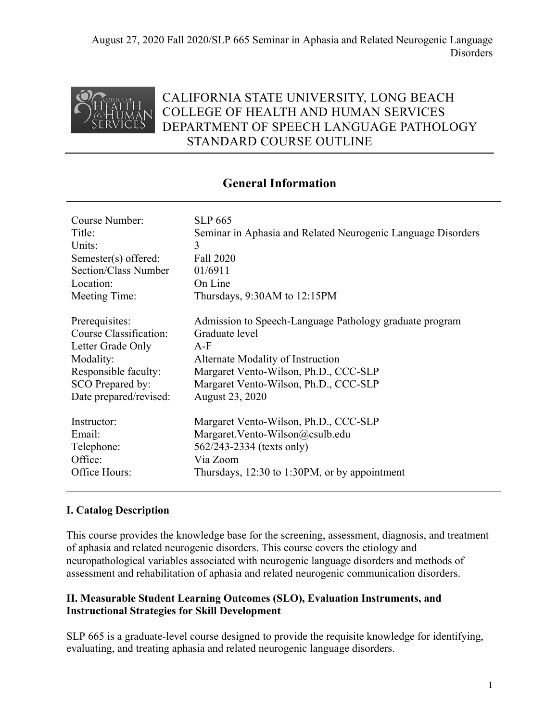

# CALIFORNIA STATE UNIVERSITY, LONG BEACH COLLEGE OF HEALTH AND HUMAN SERVICES DEPARTMENT OF SPEECH LANGUAGE PATHOLOGY STANDARD COURSE OUTLINE

# **General Information**

| Course Number:         | <b>SLP 665</b>                                               |
|------------------------|--------------------------------------------------------------|
| Title:                 | Seminar in Aphasia and Related Neurogenic Language Disorders |
| Units:                 | 3                                                            |
| Semester(s) offered:   | Fall 2020                                                    |
| Section/Class Number   | 01/6911                                                      |
| Location:              | On Line                                                      |
| Meeting Time:          | Thursdays, $9:30AM$ to $12:15PM$                             |
| Prerequisites:         | Admission to Speech-Language Pathology graduate program      |
| Course Classification: | Graduate level                                               |
| Letter Grade Only      | $A-F$                                                        |
| Modality:              | Alternate Modality of Instruction                            |
| Responsible faculty:   | Margaret Vento-Wilson, Ph.D., CCC-SLP                        |
| SCO Prepared by:       | Margaret Vento-Wilson, Ph.D., CCC-SLP                        |
| Date prepared/revised: | August 23, 2020                                              |
| Instructor:            | Margaret Vento-Wilson, Ph.D., CCC-SLP                        |
| Email:                 | Margaret. Vento-Wilson@csulb.edu                             |
| Telephone:             | 562/243-2334 (texts only)                                    |
| Office:                | Via Zoom                                                     |
| Office Hours:          | Thursdays, 12:30 to 1:30PM, or by appointment                |

# **I. Catalog Description**

This course provides the knowledge base for the screening, assessment, diagnosis, and treatment of aphasia and related neurogenic disorders. This course covers the etiology and neuropathological variables associated with neurogenic language disorders and methods of assessment and rehabilitation of aphasia and related neurogenic communication disorders.

#### **II. Measurable Student Learning Outcomes (SLO), Evaluation Instruments, and Instructional Strategies for Skill Development**

SLP 665 is a graduate-level course designed to provide the requisite knowledge for identifying, evaluating, and treating aphasia and related neurogenic language disorders.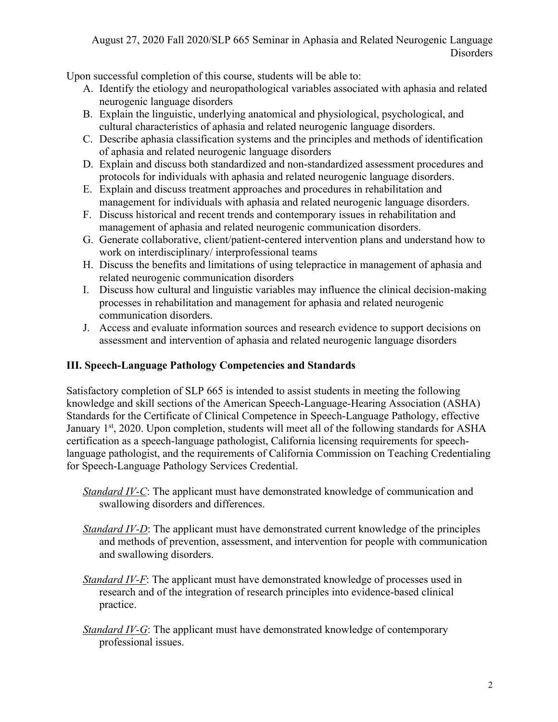Upon successful completion of this course, students will be able to:

- A. Identify the etiology and neuropathological variables associated with aphasia and related neurogenic language disorders
- B. Explain the linguistic, underlying anatomical and physiological, psychological, and cultural characteristics of aphasia and related neurogenic language disorders.
- C. Describe aphasia classification systems and the principles and methods of identification of aphasia and related neurogenic language disorders
- D. Explain and discuss both standardized and non-standardized assessment procedures and protocols for individuals with aphasia and related neurogenic language disorders.
- E. Explain and discuss treatment approaches and procedures in rehabilitation and management for individuals with aphasia and related neurogenic language disorders.
- F. Discuss historical and recent trends and contemporary issues in rehabilitation and management of aphasia and related neurogenic communication disorders.
- G. Generate collaborative, client/patient-centered intervention plans and understand how to work on interdisciplinary/ interprofessional teams
- H. Discuss the benefits and limitations of using telepractice in management of aphasia and related neurogenic communication disorders
- I. Discuss how cultural and linguistic variables may influence the clinical decision-making processes in rehabilitation and management for aphasia and related neurogenic communication disorders.
- J. Access and evaluate information sources and research evidence to support decisions on assessment and intervention of aphasia and related neurogenic language disorders

# **III. Speech-Language Pathology Competencies and Standards**

Satisfactory completion of SLP 665 is intended to assist students in meeting the following knowledge and skill sections of the American Speech-Language-Hearing Association (ASHA) Standards for the Certificate of Clinical Competence in Speech-Language Pathology, effective January  $1^{st}$ , 2020. Upon completion, students will meet all of the following standards for ASHA certification as a speech-language pathologist, California licensing requirements for speechlanguage pathologist, and the requirements of California Commission on Teaching Credentialing for Speech-Language Pathology Services Credential.

- *Standard IV-C*: The applicant must have demonstrated knowledge of communication and swallowing disorders and differences.
- *Standard IV-D*: The applicant must have demonstrated current knowledge of the principles and methods of prevention, assessment, and intervention for people with communication and swallowing disorders.
- *Standard IV-F*: The applicant must have demonstrated knowledge of processes used in research and of the integration of research principles into evidence-based clinical practice.
- *Standard IV-G*: The applicant must have demonstrated knowledge of contemporary professional issues.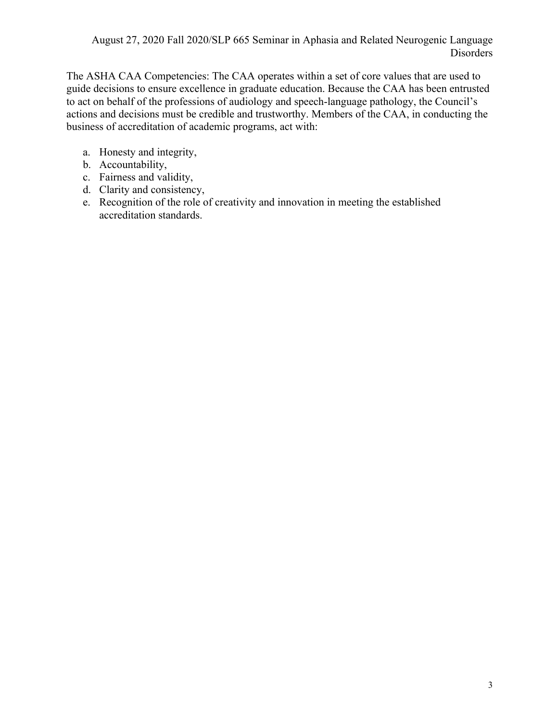The ASHA CAA Competencies: The CAA operates within a set of core values that are used to guide decisions to ensure excellence in graduate education. Because the CAA has been entrusted to act on behalf of the professions of audiology and speech-language pathology, the Council's actions and decisions must be credible and trustworthy. Members of the CAA, in conducting the business of accreditation of academic programs, act with:

- a. Honesty and integrity,
- b. Accountability,
- c. Fairness and validity,
- d. Clarity and consistency,
- e. Recognition of the role of creativity and innovation in meeting the established accreditation standards.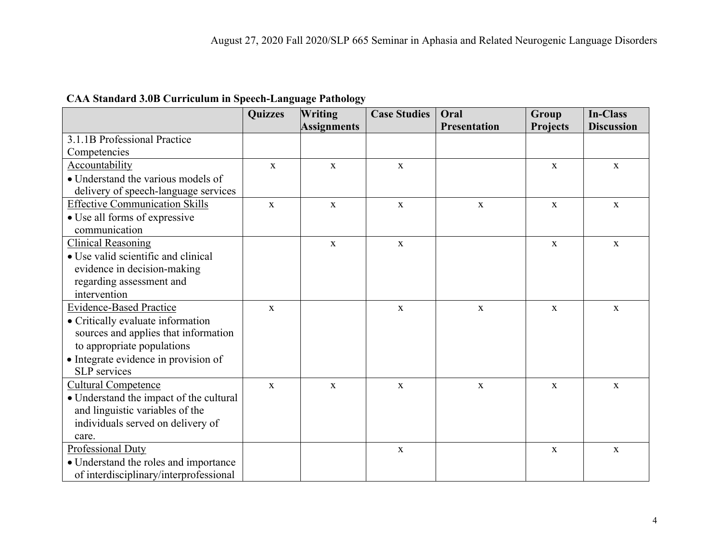|  | <b>CAA Standard 3.0B Curriculum in Speech-Language Pathology</b> |  |  |
|--|------------------------------------------------------------------|--|--|
|  |                                                                  |  |  |

|                                         | <b>Quizzes</b> | <b>Writing</b>     | <b>Case Studies</b> | Oral                | Group           | <b>In-Class</b>   |
|-----------------------------------------|----------------|--------------------|---------------------|---------------------|-----------------|-------------------|
|                                         |                | <b>Assignments</b> |                     | <b>Presentation</b> | <b>Projects</b> | <b>Discussion</b> |
| 3.1.1B Professional Practice            |                |                    |                     |                     |                 |                   |
| Competencies                            |                |                    |                     |                     |                 |                   |
| Accountability                          | $\mathbf{x}$   | $\mathbf{x}$       | $\mathbf{X}$        |                     | $\mathbf{x}$    | $\mathbf{x}$      |
| • Understand the various models of      |                |                    |                     |                     |                 |                   |
| delivery of speech-language services    |                |                    |                     |                     |                 |                   |
| <b>Effective Communication Skills</b>   | $\mathbf{X}$   | $\mathbf X$        | $\mathbf X$         | $\mathbf X$         | $\mathbf X$     | $\mathbf X$       |
| • Use all forms of expressive           |                |                    |                     |                     |                 |                   |
| communication                           |                |                    |                     |                     |                 |                   |
| <b>Clinical Reasoning</b>               |                | $\mathbf{X}$       | $\mathbf X$         |                     | $\mathbf{X}$    | $\mathbf{X}$      |
| • Use valid scientific and clinical     |                |                    |                     |                     |                 |                   |
| evidence in decision-making             |                |                    |                     |                     |                 |                   |
| regarding assessment and                |                |                    |                     |                     |                 |                   |
| intervention                            |                |                    |                     |                     |                 |                   |
| <b>Evidence-Based Practice</b>          | $\mathbf{X}$   |                    | $\mathbf{X}$        | $\mathbf X$         | X               | $\mathbf X$       |
| • Critically evaluate information       |                |                    |                     |                     |                 |                   |
| sources and applies that information    |                |                    |                     |                     |                 |                   |
| to appropriate populations              |                |                    |                     |                     |                 |                   |
| • Integrate evidence in provision of    |                |                    |                     |                     |                 |                   |
| SLP services                            |                |                    |                     |                     |                 |                   |
| <b>Cultural Competence</b>              | $\mathbf{X}$   | $\mathbf{X}$       | $\mathbf X$         | $\mathbf X$         | $\mathbf{X}$    | $\mathbf X$       |
| • Understand the impact of the cultural |                |                    |                     |                     |                 |                   |
| and linguistic variables of the         |                |                    |                     |                     |                 |                   |
| individuals served on delivery of       |                |                    |                     |                     |                 |                   |
| care.                                   |                |                    |                     |                     |                 |                   |
| Professional Duty                       |                |                    | $\mathbf{x}$        |                     | $\mathbf{x}$    | $\mathbf{x}$      |
| • Understand the roles and importance   |                |                    |                     |                     |                 |                   |
| of interdisciplinary/interprofessional  |                |                    |                     |                     |                 |                   |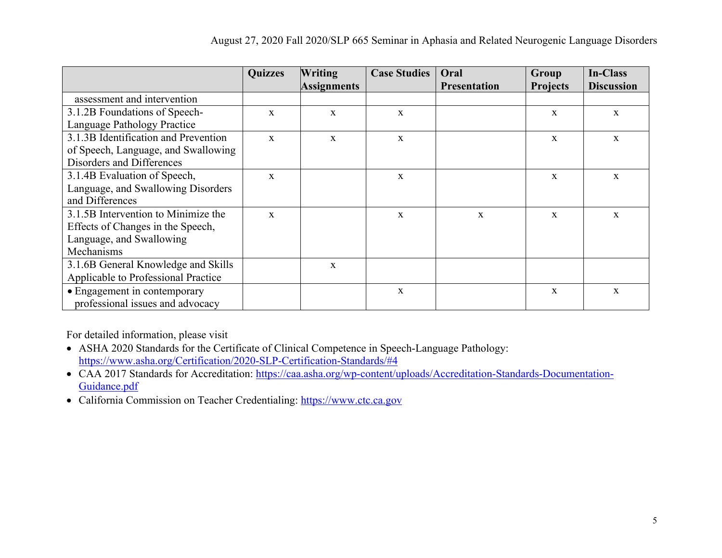|                                      | <b>Quizzes</b> | <b>Writing</b>     | <b>Case Studies</b> | Oral                | Group           | <b>In-Class</b>   |
|--------------------------------------|----------------|--------------------|---------------------|---------------------|-----------------|-------------------|
|                                      |                | <b>Assignments</b> |                     | <b>Presentation</b> | <b>Projects</b> | <b>Discussion</b> |
| assessment and intervention          |                |                    |                     |                     |                 |                   |
| 3.1.2B Foundations of Speech-        | $\mathbf{x}$   | X                  | X                   |                     | X               | X                 |
| Language Pathology Practice          |                |                    |                     |                     |                 |                   |
| 3.1.3B Identification and Prevention | $\mathbf{x}$   | $\mathbf X$        | $\mathbf X$         |                     | X               | $\mathbf X$       |
| of Speech, Language, and Swallowing  |                |                    |                     |                     |                 |                   |
| Disorders and Differences            |                |                    |                     |                     |                 |                   |
| 3.1.4B Evaluation of Speech,         | $\mathbf{X}$   |                    | $\mathbf X$         |                     | X               | X                 |
| Language, and Swallowing Disorders   |                |                    |                     |                     |                 |                   |
| and Differences                      |                |                    |                     |                     |                 |                   |
| 3.1.5B Intervention to Minimize the  | $\mathbf{x}$   |                    | $\mathbf{x}$        | X                   | $\mathbf{x}$    | X                 |
| Effects of Changes in the Speech,    |                |                    |                     |                     |                 |                   |
| Language, and Swallowing             |                |                    |                     |                     |                 |                   |
| Mechanisms                           |                |                    |                     |                     |                 |                   |
| 3.1.6B General Knowledge and Skills  |                | $\mathbf X$        |                     |                     |                 |                   |
| Applicable to Professional Practice  |                |                    |                     |                     |                 |                   |
| • Engagement in contemporary         |                |                    | $\mathbf X$         |                     | X               | X                 |
| professional issues and advocacy     |                |                    |                     |                     |                 |                   |

For detailed information, please visit

- ASHA 2020 Standards for the Certificate of Clinical Competence in Speech-Language Pathology: https://www.asha.org/Certification/2020-SLP-Certification-Standards/#4
- CAA 2017 Standards for Accreditation: https://caa.asha.org/wp-content/uploads/Accreditation-Standards-Documentation-Guidance.pdf
- California Commission on Teacher Credentialing: https://www.ctc.ca.gov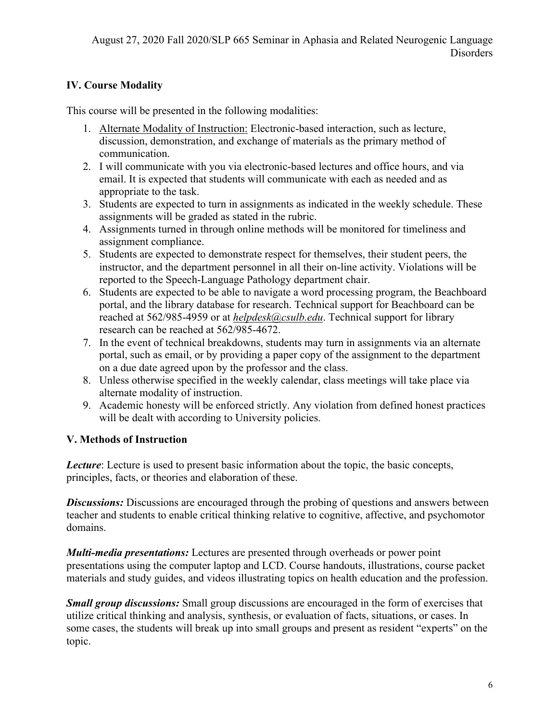# **IV. Course Modality**

This course will be presented in the following modalities:

- 1. Alternate Modality of Instruction: Electronic-based interaction, such as lecture, discussion, demonstration, and exchange of materials as the primary method of communication.
- 2. I will communicate with you via electronic-based lectures and office hours, and via email. It is expected that students will communicate with each as needed and as appropriate to the task.
- 3. Students are expected to turn in assignments as indicated in the weekly schedule. These assignments will be graded as stated in the rubric.
- 4. Assignments turned in through online methods will be monitored for timeliness and assignment compliance.
- 5. Students are expected to demonstrate respect for themselves, their student peers, the instructor, and the department personnel in all their on-line activity. Violations will be reported to the Speech-Language Pathology department chair.
- 6. Students are expected to be able to navigate a word processing program, the Beachboard portal, and the library database for research. Technical support for Beachboard can be reached at 562/985-4959 or at *helpdesk@csulb.edu*. Technical support for library research can be reached at 562/985-4672.
- 7. In the event of technical breakdowns, students may turn in assignments via an alternate portal, such as email, or by providing a paper copy of the assignment to the department on a due date agreed upon by the professor and the class.
- 8. Unless otherwise specified in the weekly calendar, class meetings will take place via alternate modality of instruction.
- 9. Academic honesty will be enforced strictly. Any violation from defined honest practices will be dealt with according to University policies.

# **V. Methods of Instruction**

*Lecture*: Lecture is used to present basic information about the topic, the basic concepts, principles, facts, or theories and elaboration of these.

**Discussions:** Discussions are encouraged through the probing of questions and answers between teacher and students to enable critical thinking relative to cognitive, affective, and psychomotor domains.

*Multi-media presentations:* Lectures are presented through overheads or power point presentations using the computer laptop and LCD. Course handouts, illustrations, course packet materials and study guides, and videos illustrating topics on health education and the profession.

*Small group discussions:* Small group discussions are encouraged in the form of exercises that utilize critical thinking and analysis, synthesis, or evaluation of facts, situations, or cases. In some cases, the students will break up into small groups and present as resident "experts" on the topic.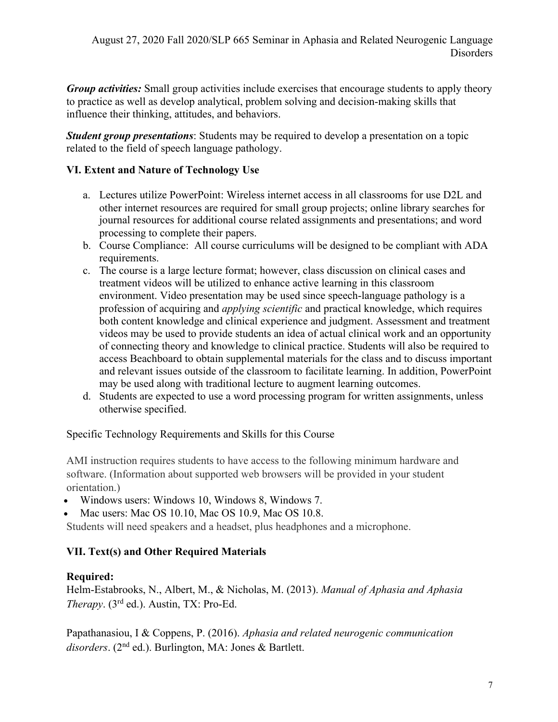*Group activities:* Small group activities include exercises that encourage students to apply theory to practice as well as develop analytical, problem solving and decision-making skills that influence their thinking, attitudes, and behaviors.

*Student group presentations*: Students may be required to develop a presentation on a topic related to the field of speech language pathology.

# **VI. Extent and Nature of Technology Use**

- a. Lectures utilize PowerPoint: Wireless internet access in all classrooms for use D2L and other internet resources are required for small group projects; online library searches for journal resources for additional course related assignments and presentations; and word processing to complete their papers.
- b. Course Compliance: All course curriculums will be designed to be compliant with ADA requirements.
- c. The course is a large lecture format; however, class discussion on clinical cases and treatment videos will be utilized to enhance active learning in this classroom environment. Video presentation may be used since speech-language pathology is a profession of acquiring and *applying scientific* and practical knowledge, which requires both content knowledge and clinical experience and judgment. Assessment and treatment videos may be used to provide students an idea of actual clinical work and an opportunity of connecting theory and knowledge to clinical practice. Students will also be required to access Beachboard to obtain supplemental materials for the class and to discuss important and relevant issues outside of the classroom to facilitate learning. In addition, PowerPoint may be used along with traditional lecture to augment learning outcomes.
- d. Students are expected to use a word processing program for written assignments, unless otherwise specified.

Specific Technology Requirements and Skills for this Course

AMI instruction requires students to have access to the following minimum hardware and software. (Information about supported web browsers will be provided in your student orientation.)

- Windows users: Windows 10, Windows 8, Windows 7.
- Mac users: Mac OS 10.10, Mac OS 10.9, Mac OS 10.8.

Students will need speakers and a headset, plus headphones and a microphone.

# **VII. Text(s) and Other Required Materials**

# **Required:**

Helm-Estabrooks, N., Albert, M., & Nicholas, M. (2013). *Manual of Aphasia and Aphasia Therapy*. (3rd ed.). Austin, TX: Pro-Ed.

Papathanasiou, I & Coppens, P. (2016). *Aphasia and related neurogenic communication disorders*. (2nd ed.). Burlington, MA: Jones & Bartlett.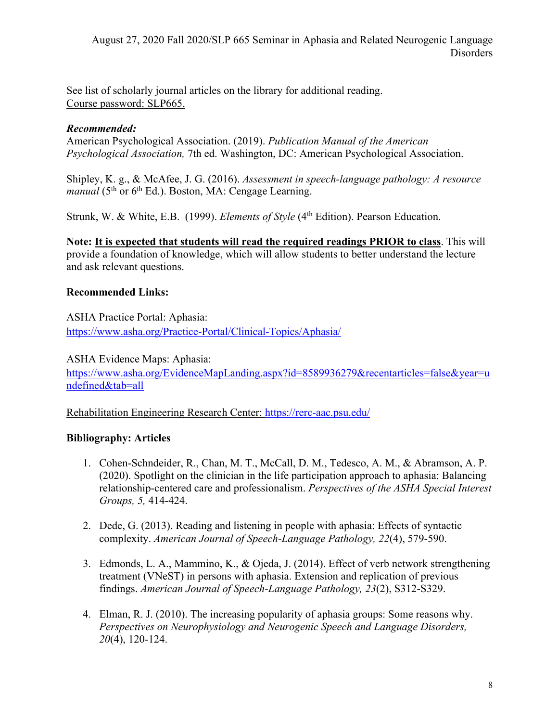See list of scholarly journal articles on the library for additional reading. Course password: SLP665.

#### *Recommended:*

American Psychological Association. (2019). *Publication Manual of the American Psychological Association,* 7th ed. Washington, DC: American Psychological Association.

Shipley, K. g., & McAfee, J. G. (2016). *Assessment in speech-language pathology: A resource manual* (5<sup>th</sup> or 6<sup>th</sup> Ed.). Boston, MA: Cengage Learning.

Strunk, W. & White, E.B. (1999). *Elements of Style* (4<sup>th</sup> Edition). Pearson Education.

**Note: It is expected that students will read the required readings PRIOR to class**. This will provide a foundation of knowledge, which will allow students to better understand the lecture and ask relevant questions.

#### **Recommended Links:**

ASHA Practice Portal: Aphasia: https://www.asha.org/Practice-Portal/Clinical-Topics/Aphasia/

ASHA Evidence Maps: Aphasia:

https://www.asha.org/EvidenceMapLanding.aspx?id=8589936279&recentarticles=false&year=u ndefined&tab=all

Rehabilitation Engineering Research Center: https://rerc-aac.psu.edu/

#### **Bibliography: Articles**

- 1. Cohen-Schndeider, R., Chan, M. T., McCall, D. M., Tedesco, A. M., & Abramson, A. P. (2020). Spotlight on the clinician in the life participation approach to aphasia: Balancing relationship-centered care and professionalism. *Perspectives of the ASHA Special Interest Groups, 5,* 414-424.
- 2. Dede, G. (2013). Reading and listening in people with aphasia: Effects of syntactic complexity. *American Journal of Speech-Language Pathology, 22*(4), 579-590.
- 3. Edmonds, L. A., Mammino, K., & Ojeda, J. (2014). Effect of verb network strengthening treatment (VNeST) in persons with aphasia. Extension and replication of previous findings. *American Journal of Speech-Language Pathology, 23*(2), S312-S329.
- 4. Elman, R. J. (2010). The increasing popularity of aphasia groups: Some reasons why. *Perspectives on Neurophysiology and Neurogenic Speech and Language Disorders, 20*(4), 120-124.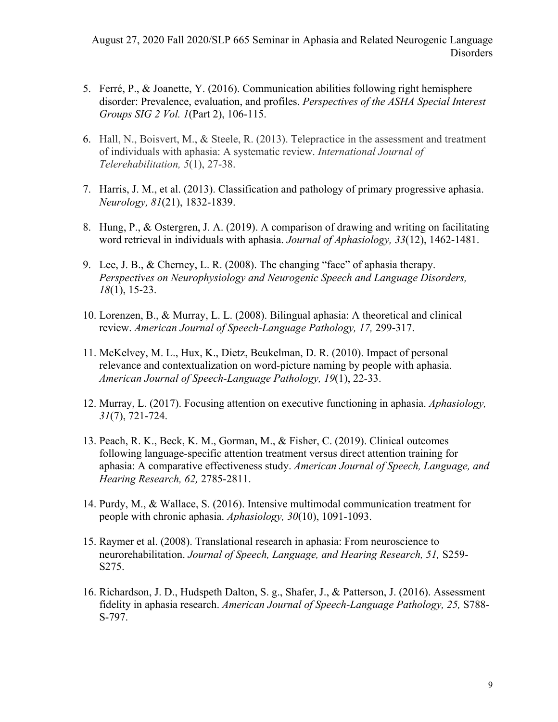- 5. Ferré, P., & Joanette, Y. (2016). Communication abilities following right hemisphere disorder: Prevalence, evaluation, and profiles. *Perspectives of the ASHA Special Interest Groups SIG 2 Vol. 1*(Part 2), 106-115.
- 6. Hall, N., Boisvert, M., & Steele, R. (2013). Telepractice in the assessment and treatment of individuals with aphasia: A systematic review. *International Journal of Telerehabilitation, 5*(1), 27-38.
- 7. Harris, J. M., et al. (2013). Classification and pathology of primary progressive aphasia. *Neurology, 81*(21), 1832-1839.
- 8. Hung, P., & Ostergren, J. A. (2019). A comparison of drawing and writing on facilitating word retrieval in individuals with aphasia. *Journal of Aphasiology, 33*(12), 1462-1481.
- 9. Lee, J. B., & Cherney, L. R. (2008). The changing "face" of aphasia therapy. *Perspectives on Neurophysiology and Neurogenic Speech and Language Disorders, 18*(1), 15-23.
- 10. Lorenzen, B., & Murray, L. L. (2008). Bilingual aphasia: A theoretical and clinical review. *American Journal of Speech-Language Pathology, 17,* 299-317.
- 11. McKelvey, M. L., Hux, K., Dietz, Beukelman, D. R. (2010). Impact of personal relevance and contextualization on word-picture naming by people with aphasia. *American Journal of Speech-Language Pathology, 19*(1), 22-33.
- 12. Murray, L. (2017). Focusing attention on executive functioning in aphasia. *Aphasiology, 31*(7), 721-724.
- 13. Peach, R. K., Beck, K. M., Gorman, M., & Fisher, C. (2019). Clinical outcomes following language-specific attention treatment versus direct attention training for aphasia: A comparative effectiveness study. *American Journal of Speech, Language, and Hearing Research, 62,* 2785-2811.
- 14. Purdy, M., & Wallace, S. (2016). Intensive multimodal communication treatment for people with chronic aphasia. *Aphasiology, 30*(10), 1091-1093.
- 15. Raymer et al. (2008). Translational research in aphasia: From neuroscience to neurorehabilitation. *Journal of Speech, Language, and Hearing Research, 51,* S259- S275.
- 16. Richardson, J. D., Hudspeth Dalton, S. g., Shafer, J., & Patterson, J. (2016). Assessment fidelity in aphasia research. *American Journal of Speech-Language Pathology, 25,* S788- S-797.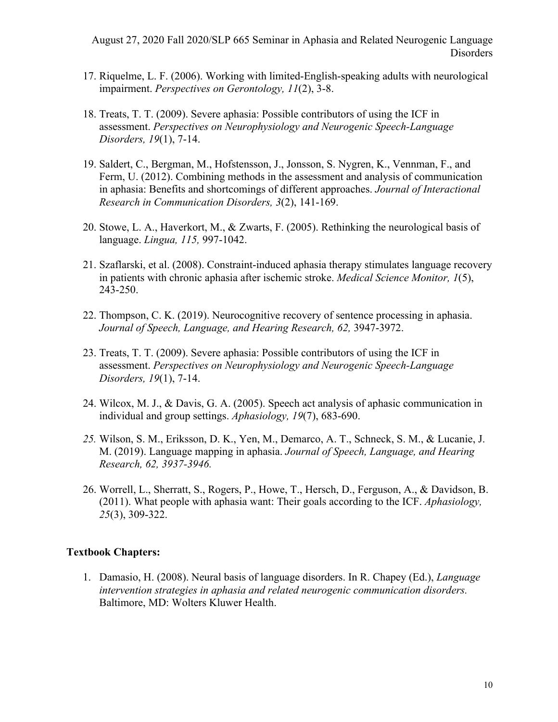- 17. Riquelme, L. F. (2006). Working with limited-English-speaking adults with neurological impairment. *Perspectives on Gerontology, 11*(2), 3-8.
- 18. Treats, T. T. (2009). Severe aphasia: Possible contributors of using the ICF in assessment. *Perspectives on Neurophysiology and Neurogenic Speech-Language Disorders, 19*(1), 7-14.
- 19. Saldert, C., Bergman, M., Hofstensson, J., Jonsson, S. Nygren, K., Vennman, F., and Ferm, U. (2012). Combining methods in the assessment and analysis of communication in aphasia: Benefits and shortcomings of different approaches. *Journal of Interactional Research in Communication Disorders, 3*(2), 141-169.
- 20. Stowe, L. A., Haverkort, M., & Zwarts, F. (2005). Rethinking the neurological basis of language. *Lingua, 115,* 997-1042.
- 21. Szaflarski, et al. (2008). Constraint-induced aphasia therapy stimulates language recovery in patients with chronic aphasia after ischemic stroke. *Medical Science Monitor, 1*(5), 243-250.
- 22. Thompson, C. K. (2019). Neurocognitive recovery of sentence processing in aphasia. Journal of Speech, Language, and Hearing Research, 62, 3947-3972.
- 23. Treats, T. T. (2009). Severe aphasia: Possible contributors of using the ICF in assessment. *Perspectives on Neurophysiology and Neurogenic Speech-Language Disorders, 19*(1), 7-14.
- 24. Wilcox, M. J., & Davis, G. A. (2005). Speech act analysis of aphasic communication in individual and group settings. *Aphasiology, 19*(7), 683-690.
- *25.* Wilson, S. M., Eriksson, D. K., Yen, M., Demarco, A. T., Schneck, S. M., & Lucanie, J. M. (2019). Language mapping in aphasia. *Journal of Speech, Language, and Hearing Research, 62, 3937-3946.*
- 26. Worrell, L., Sherratt, S., Rogers, P., Howe, T., Hersch, D., Ferguson, A., & Davidson, B. (2011). What people with aphasia want: Their goals according to the ICF. *Aphasiology, 25*(3), 309-322.

#### **Textbook Chapters:**

1. Damasio, H. (2008). Neural basis of language disorders. In R. Chapey (Ed.), *Language intervention strategies in aphasia and related neurogenic communication disorders.*  Baltimore, MD: Wolters Kluwer Health.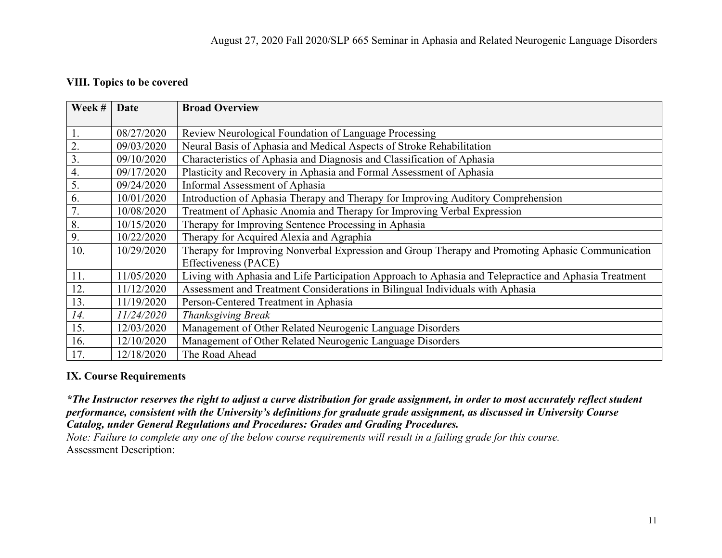#### **VIII. Topics to be covered**

| Week # | Date       | <b>Broad Overview</b>                                                                                 |
|--------|------------|-------------------------------------------------------------------------------------------------------|
|        |            |                                                                                                       |
| 1.     | 08/27/2020 | Review Neurological Foundation of Language Processing                                                 |
| 2.     | 09/03/2020 | Neural Basis of Aphasia and Medical Aspects of Stroke Rehabilitation                                  |
| 3.     | 09/10/2020 | Characteristics of Aphasia and Diagnosis and Classification of Aphasia                                |
| 4.     | 09/17/2020 | Plasticity and Recovery in Aphasia and Formal Assessment of Aphasia                                   |
| 5.     | 09/24/2020 | Informal Assessment of Aphasia                                                                        |
| 6.     | 10/01/2020 | Introduction of Aphasia Therapy and Therapy for Improving Auditory Comprehension                      |
| 7.     | 10/08/2020 | Treatment of Aphasic Anomia and Therapy for Improving Verbal Expression                               |
| 8.     | 10/15/2020 | Therapy for Improving Sentence Processing in Aphasia                                                  |
| 9.     | 10/22/2020 | Therapy for Acquired Alexia and Agraphia                                                              |
| 10.    | 10/29/2020 | Therapy for Improving Nonverbal Expression and Group Therapy and Promoting Aphasic Communication      |
|        |            | Effectiveness (PACE)                                                                                  |
| 11.    | 11/05/2020 | Living with Aphasia and Life Participation Approach to Aphasia and Telepractice and Aphasia Treatment |
| 12.    | 11/12/2020 | Assessment and Treatment Considerations in Bilingual Individuals with Aphasia                         |
| 13.    | 11/19/2020 | Person-Centered Treatment in Aphasia                                                                  |
| 14.    | 11/24/2020 | Thanksgiving Break                                                                                    |
| 15.    | 12/03/2020 | Management of Other Related Neurogenic Language Disorders                                             |
| 16.    | 12/10/2020 | Management of Other Related Neurogenic Language Disorders                                             |
| 17.    | 12/18/2020 | The Road Ahead                                                                                        |

#### **IX. Course Requirements**

*\*The Instructor reserves the right to adjust a curve distribution for grade assignment, in order to most accurately reflect student performance, consistent with the University's definitions for graduate grade assignment, as discussed in University Course Catalog, under General Regulations and Procedures: Grades and Grading Procedures.*

*Note: Failure to complete any one of the below course requirements will result in a failing grade for this course.* Assessment Description: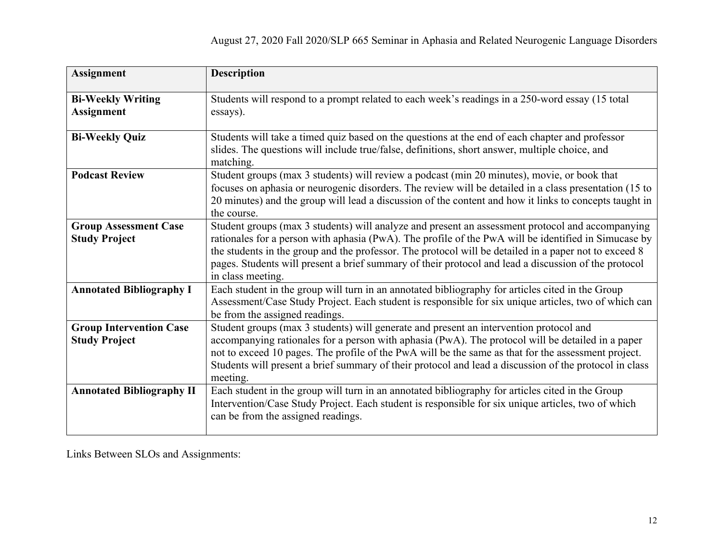| <b>Assignment</b>                                      | <b>Description</b>                                                                                                                                                                                                                                                                                                                                                                                                                             |
|--------------------------------------------------------|------------------------------------------------------------------------------------------------------------------------------------------------------------------------------------------------------------------------------------------------------------------------------------------------------------------------------------------------------------------------------------------------------------------------------------------------|
| <b>Bi-Weekly Writing</b><br><b>Assignment</b>          | Students will respond to a prompt related to each week's readings in a 250-word essay (15 total<br>essays).                                                                                                                                                                                                                                                                                                                                    |
| <b>Bi-Weekly Quiz</b>                                  | Students will take a timed quiz based on the questions at the end of each chapter and professor<br>slides. The questions will include true/false, definitions, short answer, multiple choice, and<br>matching.                                                                                                                                                                                                                                 |
| <b>Podcast Review</b>                                  | Student groups (max 3 students) will review a podcast (min 20 minutes), movie, or book that<br>focuses on aphasia or neurogenic disorders. The review will be detailed in a class presentation (15 to<br>20 minutes) and the group will lead a discussion of the content and how it links to concepts taught in<br>the course.                                                                                                                 |
| <b>Group Assessment Case</b><br><b>Study Project</b>   | Student groups (max 3 students) will analyze and present an assessment protocol and accompanying<br>rationales for a person with aphasia (PwA). The profile of the PwA will be identified in Simucase by<br>the students in the group and the professor. The protocol will be detailed in a paper not to exceed 8<br>pages. Students will present a brief summary of their protocol and lead a discussion of the protocol<br>in class meeting. |
| <b>Annotated Bibliography I</b>                        | Each student in the group will turn in an annotated bibliography for articles cited in the Group<br>Assessment/Case Study Project. Each student is responsible for six unique articles, two of which can<br>be from the assigned readings.                                                                                                                                                                                                     |
| <b>Group Intervention Case</b><br><b>Study Project</b> | Student groups (max 3 students) will generate and present an intervention protocol and<br>accompanying rationales for a person with aphasia (PwA). The protocol will be detailed in a paper<br>not to exceed 10 pages. The profile of the PwA will be the same as that for the assessment project.<br>Students will present a brief summary of their protocol and lead a discussion of the protocol in class<br>meeting.                       |
| <b>Annotated Bibliography II</b>                       | Each student in the group will turn in an annotated bibliography for articles cited in the Group<br>Intervention/Case Study Project. Each student is responsible for six unique articles, two of which<br>can be from the assigned readings.                                                                                                                                                                                                   |

Links Between SLOs and Assignments: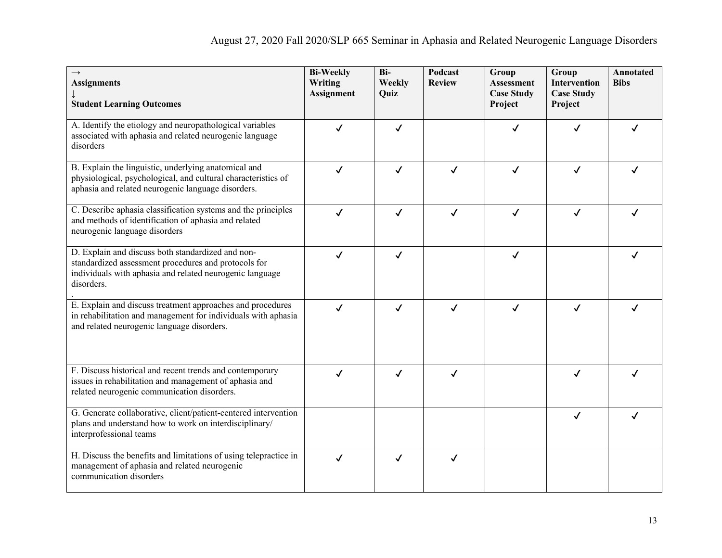| $\rightarrow$<br><b>Assignments</b><br><b>Student Learning Outcomes</b>                                                                                                             | <b>Bi-Weekly</b><br>Writing<br><b>Assignment</b> | Bi-<br>Weekly<br>Quiz | Podcast<br><b>Review</b> | Group<br><b>Assessment</b><br><b>Case Study</b><br>Project | Group<br><b>Intervention</b><br><b>Case Study</b><br>Project | <b>Annotated</b><br><b>Bibs</b> |
|-------------------------------------------------------------------------------------------------------------------------------------------------------------------------------------|--------------------------------------------------|-----------------------|--------------------------|------------------------------------------------------------|--------------------------------------------------------------|---------------------------------|
| A. Identify the etiology and neuropathological variables<br>associated with aphasia and related neurogenic language<br>disorders                                                    | ✓                                                | √                     |                          |                                                            | ✓                                                            |                                 |
| B. Explain the linguistic, underlying anatomical and<br>physiological, psychological, and cultural characteristics of<br>aphasia and related neurogenic language disorders.         | $\checkmark$                                     | $\checkmark$          | $\checkmark$             | $\checkmark$                                               | $\checkmark$                                                 | ✓                               |
| C. Describe aphasia classification systems and the principles<br>and methods of identification of aphasia and related<br>neurogenic language disorders                              | $\checkmark$                                     | √                     | $\checkmark$             | $\checkmark$                                               | $\checkmark$                                                 |                                 |
| D. Explain and discuss both standardized and non-<br>standardized assessment procedures and protocols for<br>individuals with aphasia and related neurogenic language<br>disorders. | ✓                                                | ✓                     |                          | $\checkmark$                                               |                                                              |                                 |
| E. Explain and discuss treatment approaches and procedures<br>in rehabilitation and management for individuals with aphasia<br>and related neurogenic language disorders.           | $\checkmark$                                     | $\checkmark$          | $\checkmark$             | $\checkmark$                                               | $\checkmark$                                                 |                                 |
| F. Discuss historical and recent trends and contemporary<br>issues in rehabilitation and management of aphasia and<br>related neurogenic communication disorders.                   | ✓                                                | √                     | $\checkmark$             |                                                            | ✓                                                            |                                 |
| G. Generate collaborative, client/patient-centered intervention<br>plans and understand how to work on interdisciplinary/<br>interprofessional teams                                |                                                  |                       |                          |                                                            | ✓                                                            |                                 |
| H. Discuss the benefits and limitations of using telepractice in<br>management of aphasia and related neurogenic<br>communication disorders                                         | $\checkmark$                                     | √                     | ✓                        |                                                            |                                                              |                                 |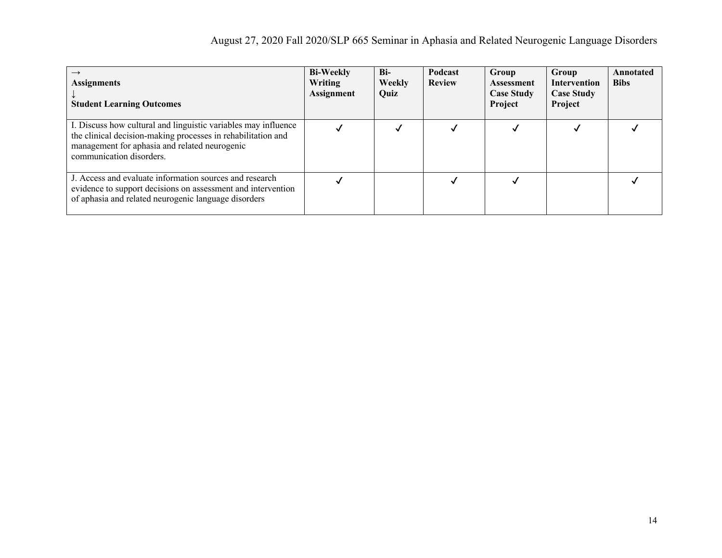| $\rightarrow$<br><b>Assignments</b><br><b>Student Learning Outcomes</b>                                                                                                                                     | <b>Bi-Weekly</b><br>Writing<br><b>Assignment</b> | Bi-<br>Weekly<br>Quiz | Podcast<br><b>Review</b> | Group<br><b>Assessment</b><br><b>Case Study</b><br>Project | Group<br><b>Intervention</b><br><b>Case Study</b><br>Project | Annotated<br><b>Bibs</b> |
|-------------------------------------------------------------------------------------------------------------------------------------------------------------------------------------------------------------|--------------------------------------------------|-----------------------|--------------------------|------------------------------------------------------------|--------------------------------------------------------------|--------------------------|
| I. Discuss how cultural and linguistic variables may influence<br>the clinical decision-making processes in rehabilitation and<br>management for aphasia and related neurogenic<br>communication disorders. |                                                  |                       |                          |                                                            |                                                              |                          |
| J. Access and evaluate information sources and research<br>evidence to support decisions on assessment and intervention<br>of aphasia and related neurogenic language disorders                             |                                                  |                       |                          |                                                            |                                                              |                          |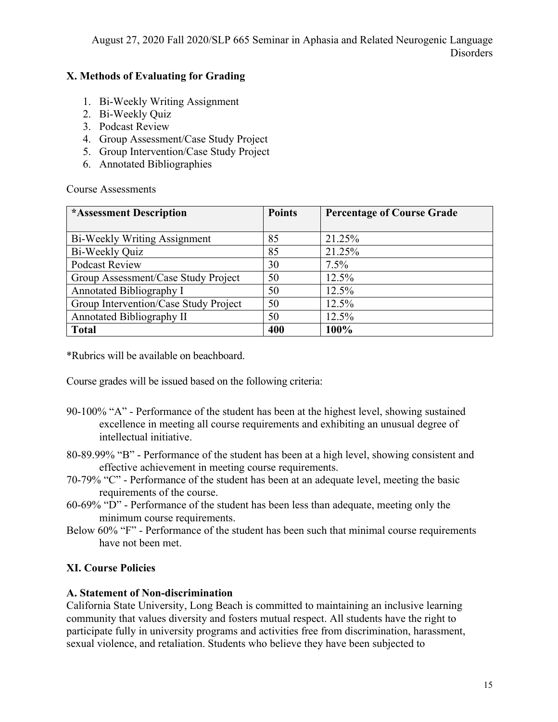# **X. Methods of Evaluating for Grading**

- 1. Bi-Weekly Writing Assignment
- 2. Bi-Weekly Quiz
- 3. Podcast Review
- 4. Group Assessment/Case Study Project
- 5. Group Intervention/Case Study Project
- 6. Annotated Bibliographies

Course Assessments

| *Assessment Description               | <b>Points</b> | <b>Percentage of Course Grade</b> |
|---------------------------------------|---------------|-----------------------------------|
|                                       |               |                                   |
| Bi-Weekly Writing Assignment          | 85            | 21.25%                            |
| Bi-Weekly Quiz                        | 85            | 21.25%                            |
| <b>Podcast Review</b>                 | 30            | $7.5\%$                           |
| Group Assessment/Case Study Project   | 50            | 12.5%                             |
| Annotated Bibliography I              | 50            | 12.5%                             |
| Group Intervention/Case Study Project | 50            | 12.5%                             |
| Annotated Bibliography II             | 50            | 12.5%                             |
| <b>Total</b>                          | 400           | 100%                              |

\*Rubrics will be available on beachboard.

Course grades will be issued based on the following criteria:

- 90-100% "A" Performance of the student has been at the highest level, showing sustained excellence in meeting all course requirements and exhibiting an unusual degree of intellectual initiative.
- 80-89.99% "B" Performance of the student has been at a high level, showing consistent and effective achievement in meeting course requirements.
- 70-79% "C" Performance of the student has been at an adequate level, meeting the basic requirements of the course.
- 60-69% "D" Performance of the student has been less than adequate, meeting only the minimum course requirements.
- Below 60% "F" Performance of the student has been such that minimal course requirements have not been met.

# **XI. Course Policies**

# **A. Statement of Non-discrimination**

California State University, Long Beach is committed to maintaining an inclusive learning community that values diversity and fosters mutual respect. All students have the right to participate fully in university programs and activities free from discrimination, harassment, sexual violence, and retaliation. Students who believe they have been subjected to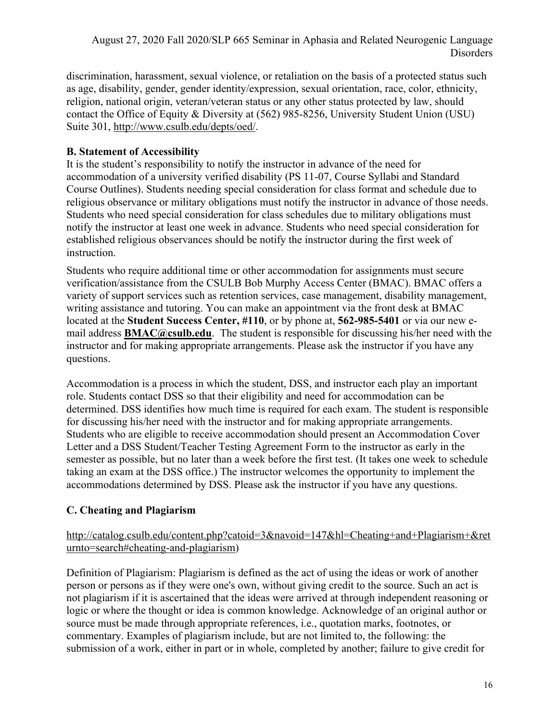discrimination, harassment, sexual violence, or retaliation on the basis of a protected status such as age, disability, gender, gender identity/expression, sexual orientation, race, color, ethnicity, religion, national origin, veteran/veteran status or any other status protected by law, should contact the Office of Equity & Diversity at (562) 985-8256, University Student Union (USU) Suite 301, http://www.csulb.edu/depts/oed/.

#### **B. Statement of Accessibility**

It is the student's responsibility to notify the instructor in advance of the need for accommodation of a university verified disability (PS 11-07, Course Syllabi and Standard Course Outlines). Students needing special consideration for class format and schedule due to religious observance or military obligations must notify the instructor in advance of those needs. Students who need special consideration for class schedules due to military obligations must notify the instructor at least one week in advance. Students who need special consideration for established religious observances should be notify the instructor during the first week of instruction.

Students who require additional time or other accommodation for assignments must secure verification/assistance from the CSULB Bob Murphy Access Center (BMAC). BMAC offers a variety of support services such as retention services, case management, disability management, writing assistance and tutoring. You can make an appointment via the front desk at BMAC located at the **Student Success Center, #110**, or by phone at, **562-985-5401** or via our new email address **BMAC@csulb.edu**. The student is responsible for discussing his/her need with the instructor and for making appropriate arrangements. Please ask the instructor if you have any questions.

Accommodation is a process in which the student, DSS, and instructor each play an important role. Students contact DSS so that their eligibility and need for accommodation can be determined. DSS identifies how much time is required for each exam. The student is responsible for discussing his/her need with the instructor and for making appropriate arrangements. Students who are eligible to receive accommodation should present an Accommodation Cover Letter and a DSS Student/Teacher Testing Agreement Form to the instructor as early in the semester as possible, but no later than a week before the first test. (It takes one week to schedule taking an exam at the DSS office.) The instructor welcomes the opportunity to implement the accommodations determined by DSS. Please ask the instructor if you have any questions.

# **C. Cheating and Plagiarism**

#### http://catalog.csulb.edu/content.php?catoid=3&navoid=147&hl=Cheating+and+Plagiarism+&ret urnto=search#cheating-and-plagiarism)

Definition of Plagiarism: Plagiarism is defined as the act of using the ideas or work of another person or persons as if they were one's own, without giving credit to the source. Such an act is not plagiarism if it is ascertained that the ideas were arrived at through independent reasoning or logic or where the thought or idea is common knowledge. Acknowledge of an original author or source must be made through appropriate references, i.e., quotation marks, footnotes, or commentary. Examples of plagiarism include, but are not limited to, the following: the submission of a work, either in part or in whole, completed by another; failure to give credit for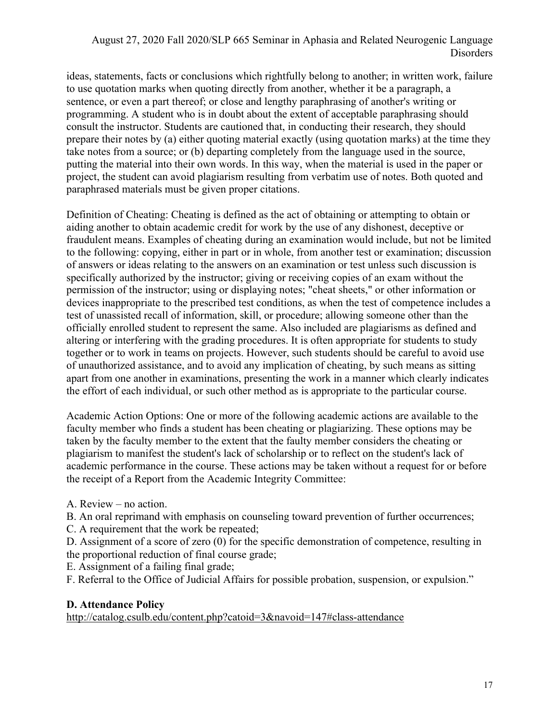ideas, statements, facts or conclusions which rightfully belong to another; in written work, failure to use quotation marks when quoting directly from another, whether it be a paragraph, a sentence, or even a part thereof; or close and lengthy paraphrasing of another's writing or programming. A student who is in doubt about the extent of acceptable paraphrasing should consult the instructor. Students are cautioned that, in conducting their research, they should prepare their notes by (a) either quoting material exactly (using quotation marks) at the time they take notes from a source; or (b) departing completely from the language used in the source, putting the material into their own words. In this way, when the material is used in the paper or project, the student can avoid plagiarism resulting from verbatim use of notes. Both quoted and paraphrased materials must be given proper citations.

Definition of Cheating: Cheating is defined as the act of obtaining or attempting to obtain or aiding another to obtain academic credit for work by the use of any dishonest, deceptive or fraudulent means. Examples of cheating during an examination would include, but not be limited to the following: copying, either in part or in whole, from another test or examination; discussion of answers or ideas relating to the answers on an examination or test unless such discussion is specifically authorized by the instructor; giving or receiving copies of an exam without the permission of the instructor; using or displaying notes; "cheat sheets," or other information or devices inappropriate to the prescribed test conditions, as when the test of competence includes a test of unassisted recall of information, skill, or procedure; allowing someone other than the officially enrolled student to represent the same. Also included are plagiarisms as defined and altering or interfering with the grading procedures. It is often appropriate for students to study together or to work in teams on projects. However, such students should be careful to avoid use of unauthorized assistance, and to avoid any implication of cheating, by such means as sitting apart from one another in examinations, presenting the work in a manner which clearly indicates the effort of each individual, or such other method as is appropriate to the particular course.

Academic Action Options: One or more of the following academic actions are available to the faculty member who finds a student has been cheating or plagiarizing. These options may be taken by the faculty member to the extent that the faulty member considers the cheating or plagiarism to manifest the student's lack of scholarship or to reflect on the student's lack of academic performance in the course. These actions may be taken without a request for or before the receipt of a Report from the Academic Integrity Committee:

- A. Review no action.
- B. An oral reprimand with emphasis on counseling toward prevention of further occurrences;
- C. A requirement that the work be repeated;
- D. Assignment of a score of zero (0) for the specific demonstration of competence, resulting in the proportional reduction of final course grade;
- E. Assignment of a failing final grade;
- F. Referral to the Office of Judicial Affairs for possible probation, suspension, or expulsion."

#### **D. Attendance Policy**

http://catalog.csulb.edu/content.php?catoid=3&navoid=147#class-attendance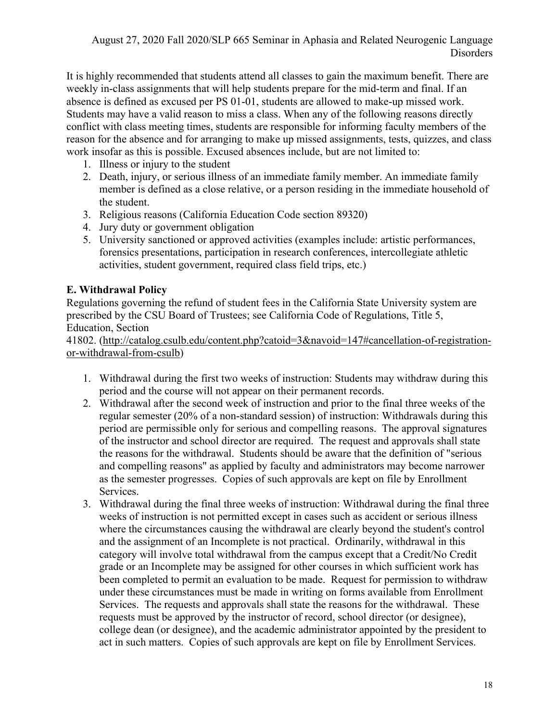It is highly recommended that students attend all classes to gain the maximum benefit. There are weekly in-class assignments that will help students prepare for the mid-term and final. If an absence is defined as excused per PS 01-01, students are allowed to make-up missed work. Students may have a valid reason to miss a class. When any of the following reasons directly conflict with class meeting times, students are responsible for informing faculty members of the reason for the absence and for arranging to make up missed assignments, tests, quizzes, and class work insofar as this is possible. Excused absences include, but are not limited to:

- 1. Illness or injury to the student
- 2. Death, injury, or serious illness of an immediate family member. An immediate family member is defined as a close relative, or a person residing in the immediate household of the student.
- 3. Religious reasons (California Education Code section 89320)
- 4. Jury duty or government obligation
- 5. University sanctioned or approved activities (examples include: artistic performances, forensics presentations, participation in research conferences, intercollegiate athletic activities, student government, required class field trips, etc.)

#### **E. Withdrawal Policy**

Regulations governing the refund of student fees in the California State University system are prescribed by the CSU Board of Trustees; see California Code of Regulations, Title 5, Education, Section

41802. (http://catalog.csulb.edu/content.php?catoid=3&navoid=147#cancellation-of-registrationor-withdrawal-from-csulb)

- 1. Withdrawal during the first two weeks of instruction: Students may withdraw during this period and the course will not appear on their permanent records.
- 2. Withdrawal after the second week of instruction and prior to the final three weeks of the regular semester (20% of a non-standard session) of instruction: Withdrawals during this period are permissible only for serious and compelling reasons. The approval signatures of the instructor and school director are required. The request and approvals shall state the reasons for the withdrawal. Students should be aware that the definition of "serious and compelling reasons" as applied by faculty and administrators may become narrower as the semester progresses. Copies of such approvals are kept on file by Enrollment Services.
- 3. Withdrawal during the final three weeks of instruction: Withdrawal during the final three weeks of instruction is not permitted except in cases such as accident or serious illness where the circumstances causing the withdrawal are clearly beyond the student's control and the assignment of an Incomplete is not practical. Ordinarily, withdrawal in this category will involve total withdrawal from the campus except that a Credit/No Credit grade or an Incomplete may be assigned for other courses in which sufficient work has been completed to permit an evaluation to be made. Request for permission to withdraw under these circumstances must be made in writing on forms available from Enrollment Services. The requests and approvals shall state the reasons for the withdrawal. These requests must be approved by the instructor of record, school director (or designee), college dean (or designee), and the academic administrator appointed by the president to act in such matters. Copies of such approvals are kept on file by Enrollment Services.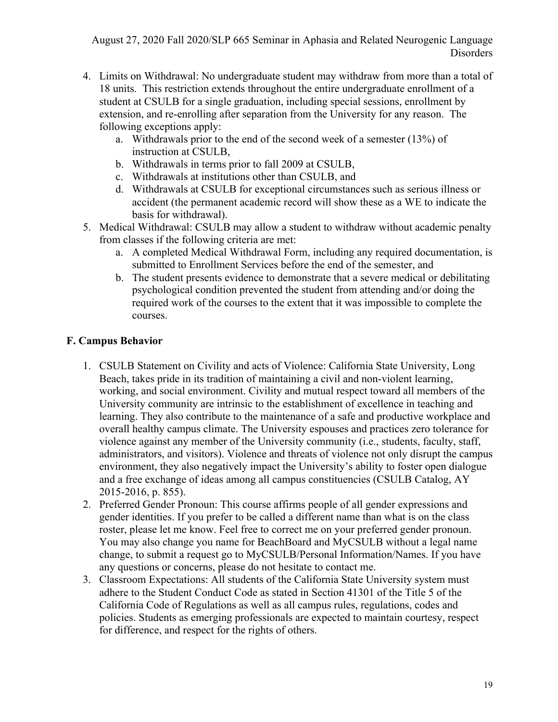- 4. Limits on Withdrawal: No undergraduate student may withdraw from more than a total of 18 units. This restriction extends throughout the entire undergraduate enrollment of a student at CSULB for a single graduation, including special sessions, enrollment by extension, and re-enrolling after separation from the University for any reason. The following exceptions apply:
	- a. Withdrawals prior to the end of the second week of a semester (13%) of instruction at CSULB,
	- b. Withdrawals in terms prior to fall 2009 at CSULB,
	- c. Withdrawals at institutions other than CSULB, and
	- d. Withdrawals at CSULB for exceptional circumstances such as serious illness or accident (the permanent academic record will show these as a WE to indicate the basis for withdrawal).
- 5. Medical Withdrawal: CSULB may allow a student to withdraw without academic penalty from classes if the following criteria are met:
	- a. A completed Medical Withdrawal Form, including any required documentation, is submitted to Enrollment Services before the end of the semester, and
	- b. The student presents evidence to demonstrate that a severe medical or debilitating psychological condition prevented the student from attending and/or doing the required work of the courses to the extent that it was impossible to complete the courses.

# **F. Campus Behavior**

- 1. CSULB Statement on Civility and acts of Violence: California State University, Long Beach, takes pride in its tradition of maintaining a civil and non-violent learning, working, and social environment. Civility and mutual respect toward all members of the University community are intrinsic to the establishment of excellence in teaching and learning. They also contribute to the maintenance of a safe and productive workplace and overall healthy campus climate. The University espouses and practices zero tolerance for violence against any member of the University community (i.e., students, faculty, staff, administrators, and visitors). Violence and threats of violence not only disrupt the campus environment, they also negatively impact the University's ability to foster open dialogue and a free exchange of ideas among all campus constituencies (CSULB Catalog, AY 2015-2016, p. 855).
- 2. Preferred Gender Pronoun: This course affirms people of all gender expressions and gender identities. If you prefer to be called a different name than what is on the class roster, please let me know. Feel free to correct me on your preferred gender pronoun. You may also change you name for BeachBoard and MyCSULB without a legal name change, to submit a request go to MyCSULB/Personal Information/Names. If you have any questions or concerns, please do not hesitate to contact me.
- 3. Classroom Expectations: All students of the California State University system must adhere to the Student Conduct Code as stated in Section 41301 of the Title 5 of the California Code of Regulations as well as all campus rules, regulations, codes and policies. Students as emerging professionals are expected to maintain courtesy, respect for difference, and respect for the rights of others.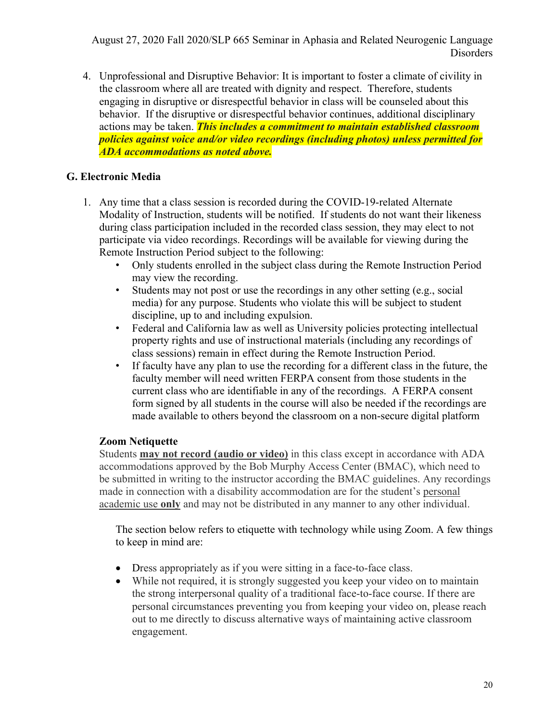4. Unprofessional and Disruptive Behavior: It is important to foster a climate of civility in the classroom where all are treated with dignity and respect. Therefore, students engaging in disruptive or disrespectful behavior in class will be counseled about this behavior. If the disruptive or disrespectful behavior continues, additional disciplinary actions may be taken. *This includes a commitment to maintain established classroom policies against voice and/or video recordings (including photos) unless permitted for ADA accommodations as noted above.*

#### **G. Electronic Media**

- 1. Any time that a class session is recorded during the COVID-19-related Alternate Modality of Instruction, students will be notified. If students do not want their likeness during class participation included in the recorded class session, they may elect to not participate via video recordings. Recordings will be available for viewing during the Remote Instruction Period subject to the following:
	- Only students enrolled in the subject class during the Remote Instruction Period may view the recording.
	- Students may not post or use the recordings in any other setting (e.g., social media) for any purpose. Students who violate this will be subject to student discipline, up to and including expulsion.
	- Federal and California law as well as University policies protecting intellectual property rights and use of instructional materials (including any recordings of class sessions) remain in effect during the Remote Instruction Period.
	- If faculty have any plan to use the recording for a different class in the future, the faculty member will need written FERPA consent from those students in the current class who are identifiable in any of the recordings. A FERPA consent form signed by all students in the course will also be needed if the recordings are made available to others beyond the classroom on a non-secure digital platform

#### **Zoom Netiquette**

Students **may not record (audio or video)** in this class except in accordance with ADA accommodations approved by the Bob Murphy Access Center (BMAC), which need to be submitted in writing to the instructor according the BMAC guidelines. Any recordings made in connection with a disability accommodation are for the student's personal academic use **only** and may not be distributed in any manner to any other individual.

The section below refers to etiquette with technology while using Zoom. A few things to keep in mind are:

- Dress appropriately as if you were sitting in a face-to-face class.
- While not required, it is strongly suggested you keep your video on to maintain the strong interpersonal quality of a traditional face-to-face course. If there are personal circumstances preventing you from keeping your video on, please reach out to me directly to discuss alternative ways of maintaining active classroom engagement.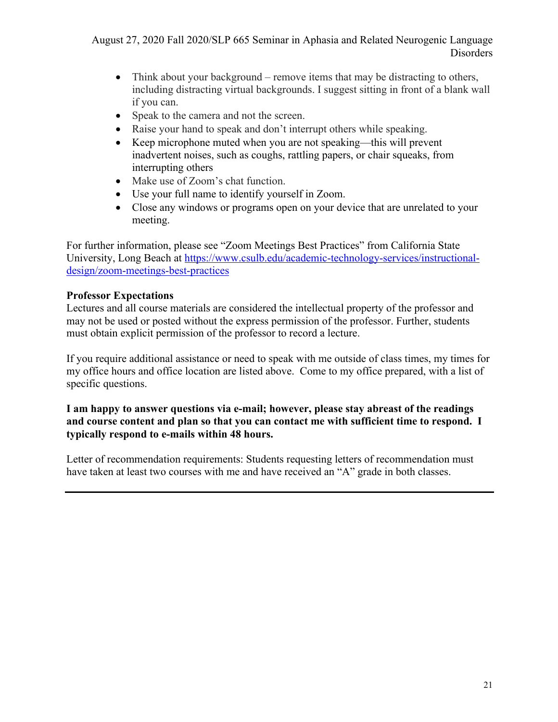- Think about your background remove items that may be distracting to others, including distracting virtual backgrounds. I suggest sitting in front of a blank wall if you can.
- Speak to the camera and not the screen.
- Raise your hand to speak and don't interrupt others while speaking.
- Keep microphone muted when you are not speaking—this will prevent inadvertent noises, such as coughs, rattling papers, or chair squeaks, from interrupting others
- Make use of Zoom's chat function.
- Use your full name to identify yourself in Zoom.
- Close any windows or programs open on your device that are unrelated to your meeting.

For further information, please see "Zoom Meetings Best Practices" from California State University, Long Beach at https://www.csulb.edu/academic-technology-services/instructionaldesign/zoom-meetings-best-practices

# **Professor Expectations**

Lectures and all course materials are considered the intellectual property of the professor and may not be used or posted without the express permission of the professor. Further, students must obtain explicit permission of the professor to record a lecture.

If you require additional assistance or need to speak with me outside of class times, my times for my office hours and office location are listed above. Come to my office prepared, with a list of specific questions.

#### **I am happy to answer questions via e-mail; however, please stay abreast of the readings and course content and plan so that you can contact me with sufficient time to respond. I typically respond to e-mails within 48 hours.**

Letter of recommendation requirements: Students requesting letters of recommendation must have taken at least two courses with me and have received an "A" grade in both classes.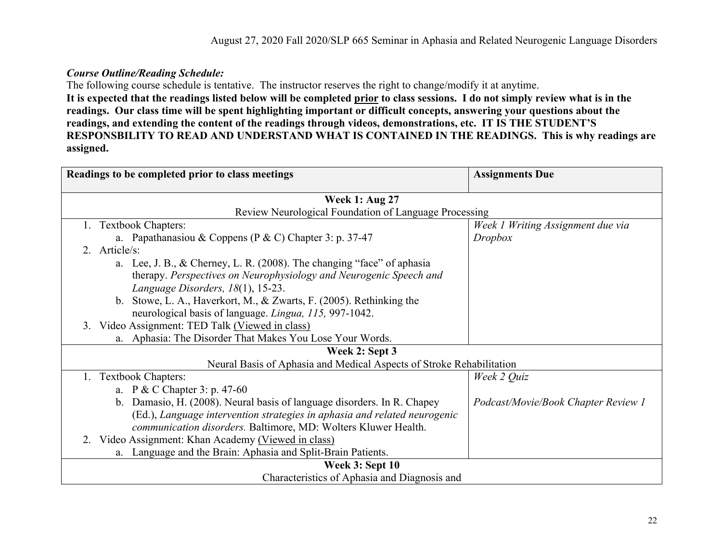#### *Course Outline/Reading Schedule:*

The following course schedule is tentative. The instructor reserves the right to change/modify it at anytime.

**It is expected that the readings listed below will be completed prior to class sessions. I do not simply review what is in the readings. Our class time will be spent highlighting important or difficult concepts, answering your questions about the readings, and extending the content of the readings through videos, demonstrations, etc. IT IS THE STUDENT'S RESPONSBILITY TO READ AND UNDERSTAND WHAT IS CONTAINED IN THE READINGS. This is why readings are assigned.** 

| Readings to be completed prior to class meetings                          | <b>Assignments Due</b>              |  |  |  |  |
|---------------------------------------------------------------------------|-------------------------------------|--|--|--|--|
| <b>Week 1: Aug 27</b>                                                     |                                     |  |  |  |  |
| Review Neurological Foundation of Language Processing                     |                                     |  |  |  |  |
| <b>Textbook Chapters:</b>                                                 | Week 1 Writing Assignment due via   |  |  |  |  |
| a. Papathanasiou & Coppens (P & C) Chapter 3: p. 37-47                    | Dropbox                             |  |  |  |  |
| 2. Article/s:                                                             |                                     |  |  |  |  |
| a. Lee, J. B., & Cherney, L. R. (2008). The changing "face" of aphasia    |                                     |  |  |  |  |
| therapy. Perspectives on Neurophysiology and Neurogenic Speech and        |                                     |  |  |  |  |
| Language Disorders, 18(1), 15-23.                                         |                                     |  |  |  |  |
| b. Stowe, L. A., Haverkort, M., & Zwarts, F. (2005). Rethinking the       |                                     |  |  |  |  |
| neurological basis of language. Lingua, 115, 997-1042.                    |                                     |  |  |  |  |
| 3. Video Assignment: TED Talk (Viewed in class)                           |                                     |  |  |  |  |
| Aphasia: The Disorder That Makes You Lose Your Words.<br>a.               |                                     |  |  |  |  |
| Week 2: Sept 3                                                            |                                     |  |  |  |  |
| Neural Basis of Aphasia and Medical Aspects of Stroke Rehabilitation      |                                     |  |  |  |  |
| 1. Textbook Chapters:                                                     | Week 2 Quiz                         |  |  |  |  |
| a. P & C Chapter 3: p. 47-60                                              |                                     |  |  |  |  |
| b. Damasio, H. (2008). Neural basis of language disorders. In R. Chapey   | Podcast/Movie/Book Chapter Review 1 |  |  |  |  |
| (Ed.), Language intervention strategies in aphasia and related neurogenic |                                     |  |  |  |  |
| communication disorders. Baltimore, MD: Wolters Kluwer Health.            |                                     |  |  |  |  |
| Video Assignment: Khan Academy (Viewed in class)<br>2.                    |                                     |  |  |  |  |
| a. Language and the Brain: Aphasia and Split-Brain Patients.              |                                     |  |  |  |  |
| <b>Week 3: Sept 10</b>                                                    |                                     |  |  |  |  |
| Characteristics of Aphasia and Diagnosis and                              |                                     |  |  |  |  |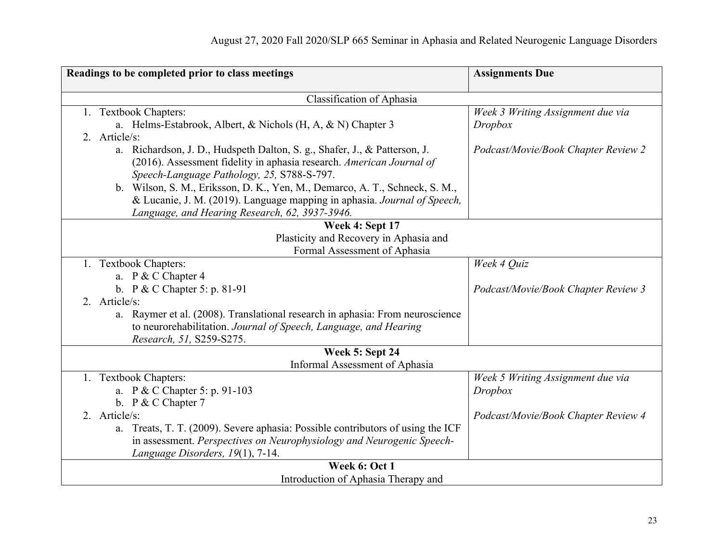| Readings to be completed prior to class meetings                                | <b>Assignments Due</b>              |
|---------------------------------------------------------------------------------|-------------------------------------|
|                                                                                 |                                     |
| Classification of Aphasia                                                       |                                     |
| 1. Textbook Chapters:                                                           | Week 3 Writing Assignment due via   |
| a. Helms-Estabrook, Albert, & Nichols (H, A, & N) Chapter 3                     | Dropbox                             |
| 2. Article/s:                                                                   |                                     |
| a. Richardson, J. D., Hudspeth Dalton, S. g., Shafer, J., & Patterson, J.       | Podcast/Movie/Book Chapter Review 2 |
| (2016). Assessment fidelity in aphasia research. American Journal of            |                                     |
| Speech-Language Pathology, 25, S788-S-797.                                      |                                     |
| b. Wilson, S. M., Eriksson, D. K., Yen, M., Demarco, A. T., Schneck, S. M.,     |                                     |
| & Lucanie, J. M. (2019). Language mapping in aphasia. Journal of Speech,        |                                     |
| Language, and Hearing Research, 62, 3937-3946.                                  |                                     |
| Week 4: Sept 17                                                                 |                                     |
| Plasticity and Recovery in Aphasia and                                          |                                     |
| Formal Assessment of Aphasia                                                    |                                     |
| 1. Textbook Chapters:                                                           | Week 4 Quiz                         |
| a. P & C Chapter 4                                                              |                                     |
| b. P & C Chapter 5: p. 81-91                                                    | Podcast/Movie/Book Chapter Review 3 |
| 2. Article/s:                                                                   |                                     |
| a. Raymer et al. (2008). Translational research in aphasia: From neuroscience   |                                     |
| to neurorehabilitation. Journal of Speech, Language, and Hearing                |                                     |
| Research, 51, S259-S275.                                                        |                                     |
| Week 5: Sept 24                                                                 |                                     |
| Informal Assessment of Aphasia                                                  |                                     |
| 1. Textbook Chapters:                                                           | Week 5 Writing Assignment due via   |
| a. P & C Chapter 5: p. 91-103                                                   | Dropbox                             |
| b. P & C Chapter 7                                                              |                                     |
| 2. Article/s:                                                                   | Podcast/Movie/Book Chapter Review 4 |
| a. Treats, T. T. (2009). Severe aphasia: Possible contributors of using the ICF |                                     |
| in assessment. Perspectives on Neurophysiology and Neurogenic Speech-           |                                     |
| Language Disorders, 19(1), 7-14.                                                |                                     |
| Week 6: Oct 1                                                                   |                                     |
| Introduction of Aphasia Therapy and                                             |                                     |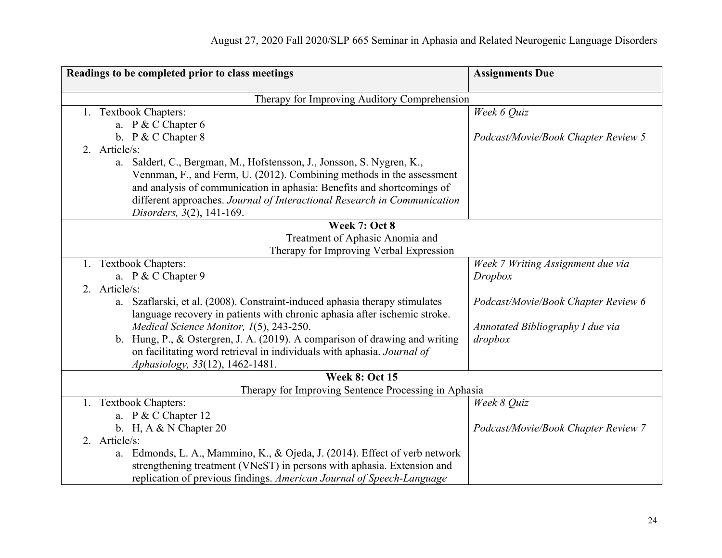| Readings to be completed prior to class meetings                               | <b>Assignments Due</b>              |
|--------------------------------------------------------------------------------|-------------------------------------|
|                                                                                |                                     |
| Therapy for Improving Auditory Comprehension                                   |                                     |
| 1. Textbook Chapters:                                                          | Week 6 Quiz                         |
| a. P & C Chapter 6                                                             |                                     |
| b. P & C Chapter 8                                                             | Podcast/Movie/Book Chapter Review 5 |
| 2. Article/s:                                                                  |                                     |
| a. Saldert, C., Bergman, M., Hofstensson, J., Jonsson, S. Nygren, K.,          |                                     |
| Vennman, F., and Ferm, U. (2012). Combining methods in the assessment          |                                     |
| and analysis of communication in aphasia: Benefits and shortcomings of         |                                     |
| different approaches. Journal of Interactional Research in Communication       |                                     |
| Disorders, 3(2), 141-169.                                                      |                                     |
| Week 7: Oct 8                                                                  |                                     |
| Treatment of Aphasic Anomia and                                                |                                     |
| Therapy for Improving Verbal Expression                                        |                                     |
| 1. Textbook Chapters:                                                          | Week 7 Writing Assignment due via   |
| a. P & C Chapter 9                                                             | Dropbox                             |
| 2. Article/s:                                                                  |                                     |
| Szaflarski, et al. (2008). Constraint-induced aphasia therapy stimulates<br>a. | Podcast/Movie/Book Chapter Review 6 |
| language recovery in patients with chronic aphasia after ischemic stroke.      |                                     |
| Medical Science Monitor, 1(5), 243-250.                                        | Annotated Bibliography I due via    |
| b. Hung, P., & Ostergren, J. A. (2019). A comparison of drawing and writing    | dropbox                             |
| on facilitating word retrieval in individuals with aphasia. Journal of         |                                     |
| Aphasiology, 33(12), 1462-1481.                                                |                                     |
| <b>Week 8: Oct 15</b>                                                          |                                     |
| Therapy for Improving Sentence Processing in Aphasia                           |                                     |
| 1. Textbook Chapters:                                                          | Week 8 Quiz                         |
| a. P & C Chapter 12                                                            |                                     |
| b. H, A $& N$ Chapter 20                                                       | Podcast/Movie/Book Chapter Review 7 |
| 2. Article/s:                                                                  |                                     |
| a. Edmonds, L. A., Mammino, K., & Ojeda, J. (2014). Effect of verb network     |                                     |
| strengthening treatment (VNeST) in persons with aphasia. Extension and         |                                     |
| replication of previous findings. American Journal of Speech-Language          |                                     |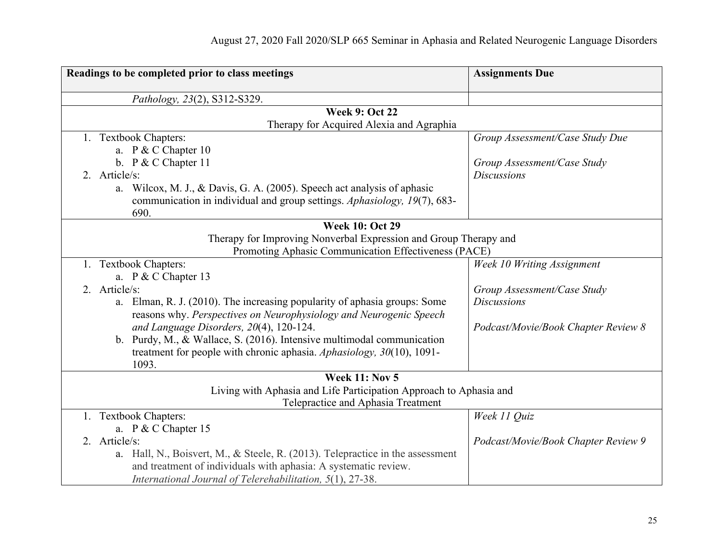| Readings to be completed prior to class meetings |                                                                                  | <b>Assignments Due</b>              |  |  |  |
|--------------------------------------------------|----------------------------------------------------------------------------------|-------------------------------------|--|--|--|
|                                                  | Pathology, 23(2), S312-S329.                                                     |                                     |  |  |  |
| <b>Week 9: Oct 22</b>                            |                                                                                  |                                     |  |  |  |
|                                                  | Therapy for Acquired Alexia and Agraphia                                         |                                     |  |  |  |
|                                                  | 1. Textbook Chapters:                                                            | Group Assessment/Case Study Due     |  |  |  |
|                                                  | a. P & C Chapter 10                                                              |                                     |  |  |  |
|                                                  | b. $P & C$ Chapter 11                                                            | Group Assessment/Case Study         |  |  |  |
|                                                  | 2. Article/s:                                                                    | <b>Discussions</b>                  |  |  |  |
|                                                  | a. Wilcox, M. J., & Davis, G. A. (2005). Speech act analysis of aphasic          |                                     |  |  |  |
|                                                  | communication in individual and group settings. Aphasiology, 19(7), 683-<br>690. |                                     |  |  |  |
| <b>Week 10: Oct 29</b>                           |                                                                                  |                                     |  |  |  |
|                                                  | Therapy for Improving Nonverbal Expression and Group Therapy and                 |                                     |  |  |  |
|                                                  | Promoting Aphasic Communication Effectiveness (PACE)                             |                                     |  |  |  |
|                                                  | 1. Textbook Chapters:                                                            | Week 10 Writing Assignment          |  |  |  |
|                                                  | a. P & C Chapter 13                                                              |                                     |  |  |  |
|                                                  | 2. Article/s:                                                                    | Group Assessment/Case Study         |  |  |  |
|                                                  | Elman, R. J. (2010). The increasing popularity of aphasia groups: Some<br>a.     | <b>Discussions</b>                  |  |  |  |
|                                                  | reasons why. Perspectives on Neurophysiology and Neurogenic Speech               |                                     |  |  |  |
|                                                  | and Language Disorders, 20(4), 120-124.                                          | Podcast/Movie/Book Chapter Review 8 |  |  |  |
|                                                  | b. Purdy, M., & Wallace, S. (2016). Intensive multimodal communication           |                                     |  |  |  |
|                                                  | treatment for people with chronic aphasia. Aphasiology, $30(10)$ , $1091$ -      |                                     |  |  |  |
|                                                  | 1093.                                                                            |                                     |  |  |  |
|                                                  | <b>Week 11: Nov 5</b>                                                            |                                     |  |  |  |
|                                                  | Living with Aphasia and Life Participation Approach to Aphasia and               |                                     |  |  |  |
|                                                  | Telepractice and Aphasia Treatment                                               |                                     |  |  |  |
|                                                  | 1. Textbook Chapters:                                                            | Week 11 Quiz                        |  |  |  |
|                                                  | a. P & C Chapter 15                                                              |                                     |  |  |  |
|                                                  | 2. Article/s:                                                                    | Podcast/Movie/Book Chapter Review 9 |  |  |  |
|                                                  | a. Hall, N., Boisvert, M., & Steele, R. (2013). Telepractice in the assessment   |                                     |  |  |  |
|                                                  | and treatment of individuals with aphasia: A systematic review.                  |                                     |  |  |  |
|                                                  | International Journal of Telerehabilitation, 5(1), 27-38.                        |                                     |  |  |  |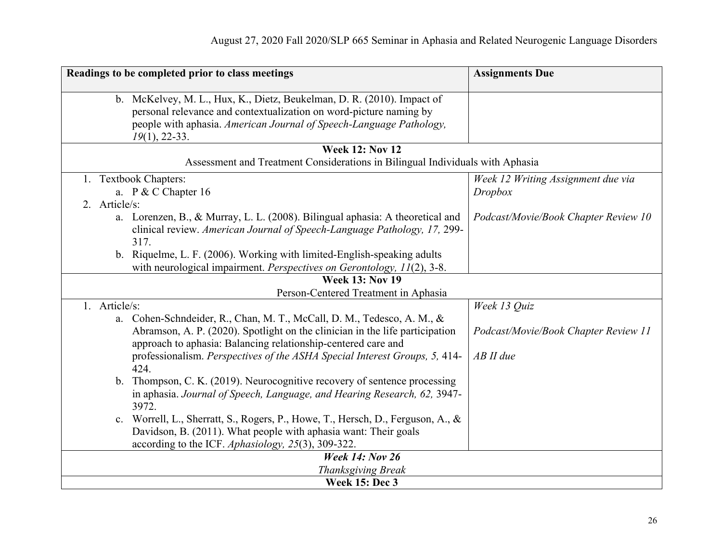| Readings to be completed prior to class meetings                                  | <b>Assignments Due</b>               |
|-----------------------------------------------------------------------------------|--------------------------------------|
| b. McKelvey, M. L., Hux, K., Dietz, Beukelman, D. R. (2010). Impact of            |                                      |
| personal relevance and contextualization on word-picture naming by                |                                      |
| people with aphasia. American Journal of Speech-Language Pathology,               |                                      |
| $19(1)$ , 22-33.                                                                  |                                      |
| <b>Week 12: Nov 12</b>                                                            |                                      |
| Assessment and Treatment Considerations in Bilingual Individuals with Aphasia     |                                      |
| 1. Textbook Chapters:                                                             | Week 12 Writing Assignment due via   |
| a. P & C Chapter 16                                                               | Dropbox                              |
| 2. Article/s:                                                                     |                                      |
| a. Lorenzen, B., & Murray, L. L. (2008). Bilingual aphasia: A theoretical and     | Podcast/Movie/Book Chapter Review 10 |
| clinical review. American Journal of Speech-Language Pathology, 17, 299-          |                                      |
| 317.                                                                              |                                      |
| b. Riquelme, L. F. (2006). Working with limited-English-speaking adults           |                                      |
| with neurological impairment. Perspectives on Gerontology, 11(2), 3-8.            |                                      |
| <b>Week 13: Nov 19</b>                                                            |                                      |
| Person-Centered Treatment in Aphasia                                              |                                      |
| 1. Article/s:                                                                     | Week 13 Quiz                         |
| a. Cohen-Schndeider, R., Chan, M. T., McCall, D. M., Tedesco, A. M., &            |                                      |
| Abramson, A. P. (2020). Spotlight on the clinician in the life participation      | Podcast/Movie/Book Chapter Review 11 |
| approach to aphasia: Balancing relationship-centered care and                     |                                      |
| professionalism. Perspectives of the ASHA Special Interest Groups, 5, 414-        | $AB$ II due                          |
| 424.                                                                              |                                      |
| b. Thompson, C. K. (2019). Neurocognitive recovery of sentence processing         |                                      |
| in aphasia. Journal of Speech, Language, and Hearing Research, 62, 3947-<br>3972. |                                      |
| c. Worrell, L., Sherratt, S., Rogers, P., Howe, T., Hersch, D., Ferguson, A., &   |                                      |
| Davidson, B. (2011). What people with aphasia want: Their goals                   |                                      |
| according to the ICF. Aphasiology, 25(3), 309-322.                                |                                      |
| <b>Week 14: Nov 26</b>                                                            |                                      |
| Thanksgiving Break                                                                |                                      |
| <b>Week 15: Dec 3</b>                                                             |                                      |